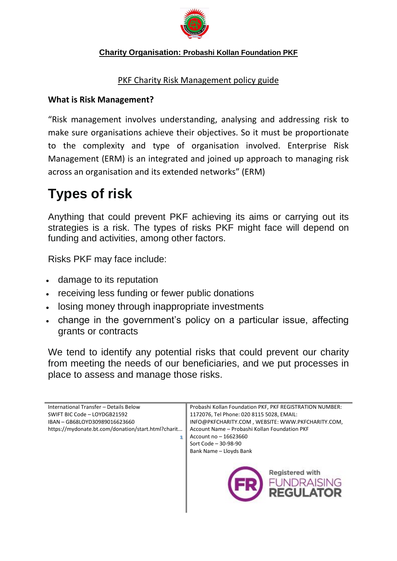

### **Charity Organisation: Probashi Kollan Foundation PKF**

### PKF Charity Risk Management policy guide

### **What is Risk Management?**

"Risk management involves understanding, analysing and addressing risk to make sure organisations achieve their objectives. So it must be proportionate to the complexity and type of organisation involved. Enterprise Risk Management (ERM) is an integrated and joined up approach to managing risk across an organisation and its extended networks" (ERM)

# **Types of risk**

Anything that could prevent PKF achieving its aims or carrying out its strategies is a risk. The types of risks PKF might face will depend on funding and activities, among other factors.

Risks PKF may face include:

- damage to its reputation
- receiving less funding or fewer public donations
- losing money through inappropriate investments
- change in the government's policy on a particular issue, affecting grants or contracts

We tend to identify any potential risks that could prevent our charity from meeting the needs of our beneficiaries, and we put processes in place to assess and manage those risks.

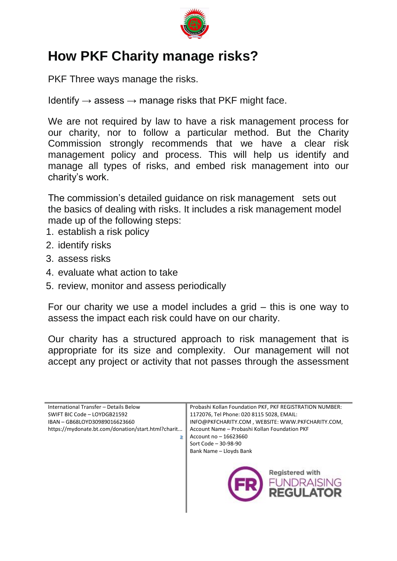

## **How PKF Charity manage risks?**

PKF Three ways manage the risks.

Identify  $\rightarrow$  assess  $\rightarrow$  manage risks that PKF might face.

We are not required by law to have a risk management process for our charity, nor to follow a particular method. But the Charity Commission strongly recommends that we have a clear risk management policy and process. This will help us identify and manage all types of risks, and embed risk management into our charity's work.

The commission's detailed guidance on risk management sets out the basics of dealing with risks. It includes a risk management model made up of the following steps:

- 1. establish a risk policy
- 2. identify risks
- 3. assess risks
- 4. evaluate what action to take
- 5. review, monitor and assess periodically

For our charity we use a model includes a grid – this is one way to assess the impact each risk could have on our charity.

Our charity has a structured approach to risk management that is appropriate for its size and complexity. Our management will not accept any project or activity that not passes through the assessment

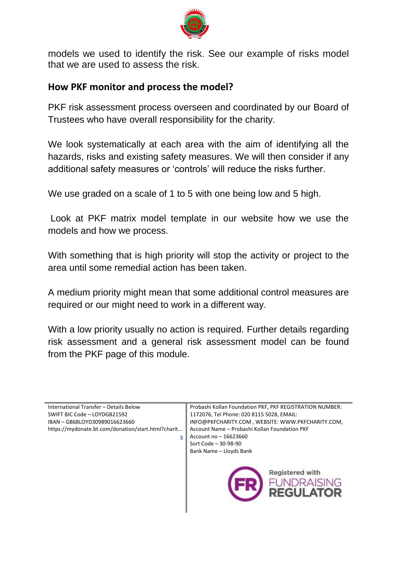

models we used to identify the risk. See our example of risks model that we are used to assess the risk.

### **How PKF monitor and process the model?**

PKF risk assessment process overseen and coordinated by our Board of Trustees who have overall responsibility for the charity.

We look systematically at each area with the aim of identifying all the hazards, risks and existing safety measures. We will then consider if any additional safety measures or 'controls' will reduce the risks further.

We use graded on a scale of 1 to 5 with one being low and 5 high.

Look at PKF matrix model template in our website how we use the models and how we process.

With something that is high priority will stop the activity or project to the area until some remedial action has been taken.

A medium priority might mean that some additional control measures are required or our might need to work in a different way.

With a low priority usually no action is required. Further details regarding risk assessment and a general risk assessment model can be found from the PKF page of this module.